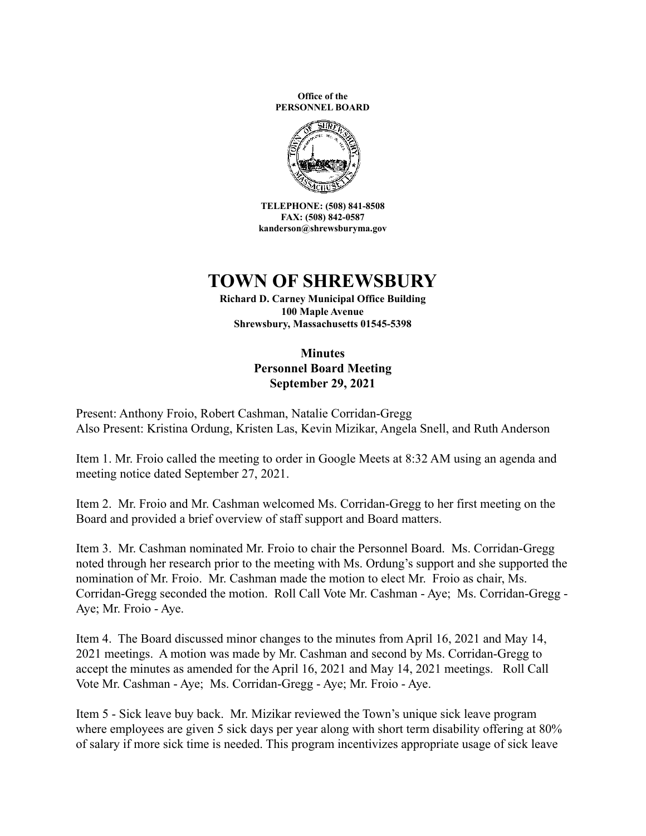**Office of the PERSONNEL BOARD**



**TELEPHONE: (508) 841-8508 FAX: (508) 842-0587 kanderson@shrewsburyma.gov**

## **TOWN OF SHREWSBURY**

**Richard D. Carney Municipal Office Building 100 Maple Avenue Shrewsbury, Massachusetts 01545-5398**

> **Minutes Personnel Board Meeting September 29, 2021**

Present: Anthony Froio, Robert Cashman, Natalie Corridan-Gregg Also Present: Kristina Ordung, Kristen Las, Kevin Mizikar, Angela Snell, and Ruth Anderson

Item 1. Mr. Froio called the meeting to order in Google Meets at 8:32 AM using an agenda and meeting notice dated September 27, 2021.

Item 2. Mr. Froio and Mr. Cashman welcomed Ms. Corridan-Gregg to her first meeting on the Board and provided a brief overview of staff support and Board matters.

Item 3. Mr. Cashman nominated Mr. Froio to chair the Personnel Board. Ms. Corridan-Gregg noted through her research prior to the meeting with Ms. Ordung's support and she supported the nomination of Mr. Froio. Mr. Cashman made the motion to elect Mr. Froio as chair, Ms. Corridan-Gregg seconded the motion. Roll Call Vote Mr. Cashman - Aye; Ms. Corridan-Gregg - Aye; Mr. Froio - Aye.

Item 4. The Board discussed minor changes to the minutes from April 16, 2021 and May 14, 2021 meetings. A motion was made by Mr. Cashman and second by Ms. Corridan-Gregg to accept the minutes as amended for the April 16, 2021 and May 14, 2021 meetings. Roll Call Vote Mr. Cashman - Aye; Ms. Corridan-Gregg - Aye; Mr. Froio - Aye.

Item 5 - Sick leave buy back. Mr. Mizikar reviewed the Town's unique sick leave program where employees are given 5 sick days per year along with short term disability offering at 80% of salary if more sick time is needed. This program incentivizes appropriate usage of sick leave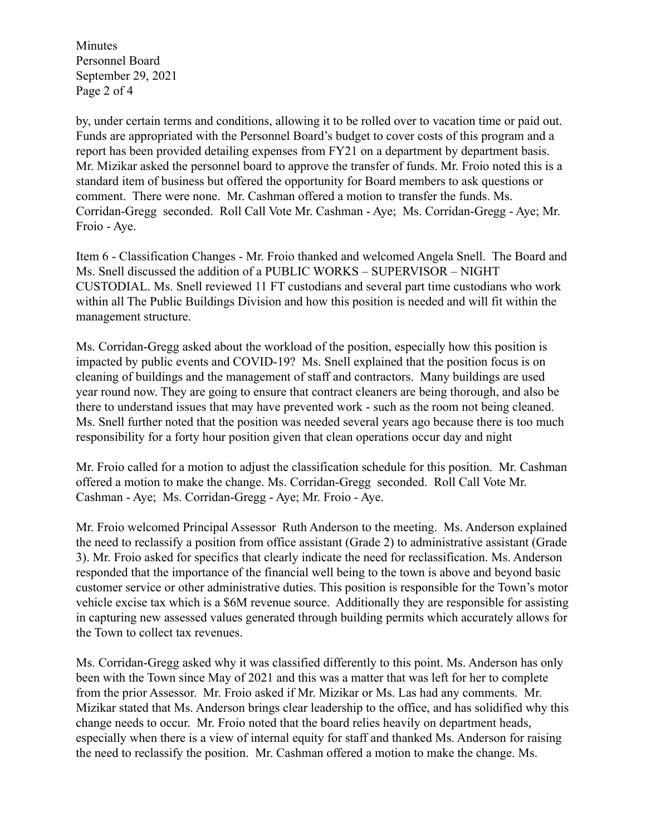Minutes Personnel Board September 29, 2021 Page 2 of 4

by, under certain terms and conditions, allowing it to be rolled over to vacation time or paid out. Funds are appropriated with the Personnel Board's budget to cover costs of this program and a report has been provided detailing expenses from FY21 on a department by department basis. Mr. Mizikar asked the personnel board to approve the transfer of funds. Mr. Froio noted this is a standard item of business but offered the opportunity for Board members to ask questions or comment. There were none. Mr. Cashman offered a motion to transfer the funds. Ms. Corridan-Gregg seconded. Roll Call Vote Mr. Cashman - Aye; Ms. Corridan-Gregg - Aye; Mr. Froio - Aye.

Item 6 - Classification Changes - Mr. Froio thanked and welcomed Angela Snell. The Board and Ms. Snell discussed the addition of a PUBLIC WORKS – SUPERVISOR – NIGHT CUSTODIAL. Ms. Snell reviewed 11 FT custodians and several part time custodians who work within all The Public Buildings Division and how this position is needed and will fit within the management structure.

Ms. Corridan-Gregg asked about the workload of the position, especially how this position is impacted by public events and COVID-19? Ms. Snell explained that the position focus is on cleaning of buildings and the management of staff and contractors. Many buildings are used year round now. They are going to ensure that contract cleaners are being thorough, and also be there to understand issues that may have prevented work - such as the room not being cleaned. Ms. Snell further noted that the position was needed several years ago because there is too much responsibility for a forty hour position given that clean operations occur day and night

Mr. Froio called for a motion to adjust the classification schedule for this position. Mr. Cashman offered a motion to make the change. Ms. Corridan-Gregg seconded. Roll Call Vote Mr. Cashman - Aye; Ms. Corridan-Gregg - Aye; Mr. Froio - Aye.

Mr. Froio welcomed Principal Assessor Ruth Anderson to the meeting. Ms. Anderson explained the need to reclassify a position from office assistant (Grade 2) to administrative assistant (Grade 3). Mr. Froio asked for specifics that clearly indicate the need for reclassification. Ms. Anderson responded that the importance of the financial well being to the town is above and beyond basic customer service or other administrative duties. This position is responsible for the Town's motor vehicle excise tax which is a \$6M revenue source. Additionally they are responsible for assisting in capturing new assessed values generated through building permits which accurately allows for the Town to collect tax revenues.

Ms. Corridan-Gregg asked why it was classified differently to this point. Ms. Anderson has only been with the Town since May of 2021 and this was a matter that was left for her to complete from the prior Assessor. Mr. Froio asked if Mr. Mizikar or Ms. Las had any comments. Mr. Mizikar stated that Ms. Anderson brings clear leadership to the office, and has solidified why this change needs to occur. Mr. Froio noted that the board relies heavily on department heads, especially when there is a view of internal equity for staff and thanked Ms. Anderson for raising the need to reclassify the position. Mr. Cashman offered a motion to make the change. Ms.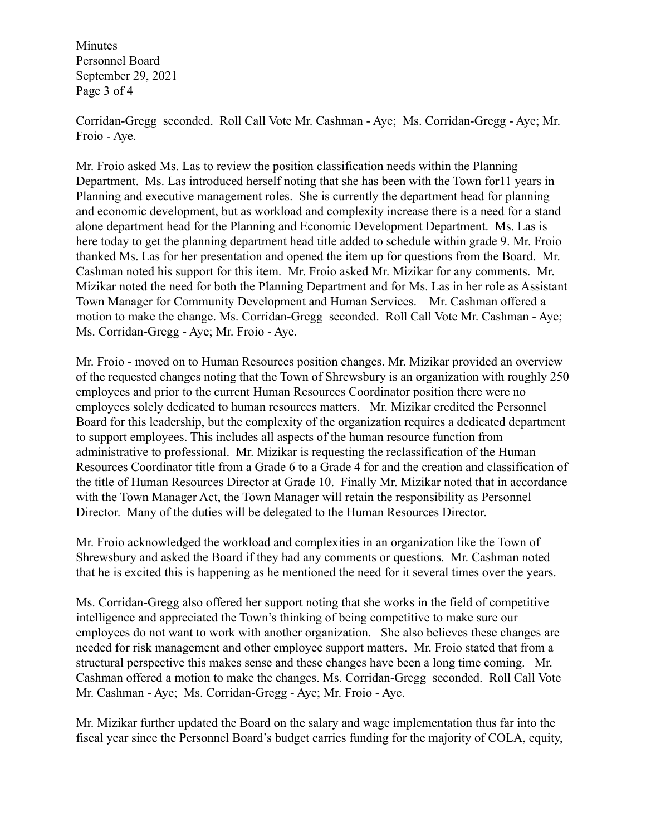Minutes Personnel Board September 29, 2021 Page 3 of 4

Corridan-Gregg seconded. Roll Call Vote Mr. Cashman - Aye; Ms. Corridan-Gregg - Aye; Mr. Froio - Aye.

Mr. Froio asked Ms. Las to review the position classification needs within the Planning Department. Ms. Las introduced herself noting that she has been with the Town for11 years in Planning and executive management roles. She is currently the department head for planning and economic development, but as workload and complexity increase there is a need for a stand alone department head for the Planning and Economic Development Department. Ms. Las is here today to get the planning department head title added to schedule within grade 9. Mr. Froio thanked Ms. Las for her presentation and opened the item up for questions from the Board. Mr. Cashman noted his support for this item. Mr. Froio asked Mr. Mizikar for any comments. Mr. Mizikar noted the need for both the Planning Department and for Ms. Las in her role as Assistant Town Manager for Community Development and Human Services. Mr. Cashman offered a motion to make the change. Ms. Corridan-Gregg seconded. Roll Call Vote Mr. Cashman - Aye; Ms. Corridan-Gregg - Aye; Mr. Froio - Aye.

Mr. Froio - moved on to Human Resources position changes. Mr. Mizikar provided an overview of the requested changes noting that the Town of Shrewsbury is an organization with roughly 250 employees and prior to the current Human Resources Coordinator position there were no employees solely dedicated to human resources matters. Mr. Mizikar credited the Personnel Board for this leadership, but the complexity of the organization requires a dedicated department to support employees. This includes all aspects of the human resource function from administrative to professional. Mr. Mizikar is requesting the reclassification of the Human Resources Coordinator title from a Grade 6 to a Grade 4 for and the creation and classification of the title of Human Resources Director at Grade 10. Finally Mr. Mizikar noted that in accordance with the Town Manager Act, the Town Manager will retain the responsibility as Personnel Director. Many of the duties will be delegated to the Human Resources Director.

Mr. Froio acknowledged the workload and complexities in an organization like the Town of Shrewsbury and asked the Board if they had any comments or questions. Mr. Cashman noted that he is excited this is happening as he mentioned the need for it several times over the years.

Ms. Corridan-Gregg also offered her support noting that she works in the field of competitive intelligence and appreciated the Town's thinking of being competitive to make sure our employees do not want to work with another organization. She also believes these changes are needed for risk management and other employee support matters. Mr. Froio stated that from a structural perspective this makes sense and these changes have been a long time coming. Mr. Cashman offered a motion to make the changes. Ms. Corridan-Gregg seconded. Roll Call Vote Mr. Cashman - Aye; Ms. Corridan-Gregg - Aye; Mr. Froio - Aye.

Mr. Mizikar further updated the Board on the salary and wage implementation thus far into the fiscal year since the Personnel Board's budget carries funding for the majority of COLA, equity,